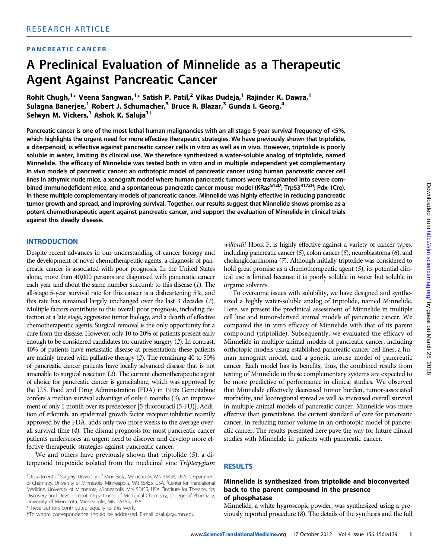#### PANCREATIC CANCER

## A Preclinical Evaluation of Minnelide as a Therapeutic Agent Against Pancreatic Cancer

Rohit Chugh,<sup>1</sup>\* Veena Sangwan,<sup>1</sup>\* Satish P. Patil,<sup>2</sup> Vikas Dudeja,<sup>1</sup> Rajinder K. Dawra,<sup>1</sup> Sulagna Banerjee,<sup>1</sup> Robert J. Schumacher,<sup>3</sup> Bruce R. Blazar,<sup>3</sup> Gunda I. Georg,<sup>4</sup> Selwyn M. Vickers,<sup>1</sup> Ashok K. Saluja<sup>1†</sup>

Pancreatic cancer is one of the most lethal human malignancies with an all-stage 5-year survival frequency of <5%, which highlights the urgent need for more effective therapeutic strategies. We have previously shown that triptolide, a diterpenoid, is effective against pancreatic cancer cells in vitro as well as in vivo. However, triptolide is poorly soluble in water, limiting its clinical use. We therefore synthesized a water-soluble analog of triptolide, named Minnelide. The efficacy of Minnelide was tested both in vitro and in multiple independent yet complementary in vivo models of pancreatic cancer: an orthotopic model of pancreatic cancer using human pancreatic cancer cell lines in athymic nude mice, a xenograft model where human pancreatic tumors were transplanted into severe combined immunodeficient mice, and a spontaneous pancreatic cancer mouse model (KRas<sup>G12D</sup>; Trp53<sup>R172H</sup>; Pdx-1Cre). In these multiple complementary models of pancreatic cancer, Minnelide was highly effective in reducing pancreatic tumor growth and spread, and improving survival. Together, our results suggest that Minnelide shows promise as a potent chemotherapeutic agent against pancreatic cancer, and support the evaluation of Minnelide in clinical trials against this deadly disease.

#### INTRODUCTION

Despite recent advances in our understanding of cancer biology and the development of novel chemotherapeutic agents, a diagnosis of pancreatic cancer is associated with poor prognosis. In the United States alone, more than 40,000 persons are diagnosed with pancreatic cancer each year and about the same number succumb to this disease (1). The all-stage 5-year survival rate for this cancer is a disheartening 5%, and this rate has remained largely unchanged over the last 3 decades (1). Multiple factors contribute to this overall poor prognosis, including detection at a late stage, aggressive tumor biology, and a dearth of effective chemotherapeutic agents. Surgical removal is the only opportunity for a cure from the disease. However, only 10 to 20% of patients present early enough to be considered candidates for curative surgery (2). In contrast, 40% of patients have metastatic disease at presentation; these patients are mainly treated with palliative therapy (2). The remaining 40 to 50% of pancreatic cancer patients have locally advanced disease that is not amenable to surgical resection (2). The current chemotherapeutic agent of choice for pancreatic cancer is gemcitabine, which was approved by the U.S. Food and Drug Administration (FDA) in 1996: Gemcitabine confers a median survival advantage of only 6 months (3), an improvement of only 1 month over its predecessor [5-fluorouracil (5-FU)]. Addition of erlotinib, an epidermal growth factor receptor inhibitor recently approved by the FDA, adds only two more weeks to the average overall survival time (4). The dismal prognosis for most pancreatic cancer patients underscores an urgent need to discover and develop more effective therapeutic strategies against pancreatic cancer.

We and others have previously shown that triptolide (5), a diterpenoid triepoxide isolated from the medicinal vine Tripterygium

\*These authors contributed equally to this work.

wilfordii Hook F, is highly effective against a variety of cancer types, including pancreatic cancer (5), colon cancer (5), neuroblastoma (6), and cholangiocarcinoma (7). Although initially triptolide was considered to hold great promise as a chemotherapeutic agent (5), its potential clinical use is limited because it is poorly soluble in water but soluble in organic solvents.

To overcome issues with solubility, we have designed and synthesized a highly water-soluble analog of triptolide, named Minnelide. Here, we present the preclinical assessment of Minnelide in multiple cell line and tumor-derived animal models of pancreatic cancer. We compared the in vitro efficacy of Minnelide with that of its parent compound (triptolide). Subsequently, we evaluated the efficacy of Minnelide in multiple animal models of pancreatic cancer, including orthotopic models using established pancreatic cancer cell lines, a human xenograft model, and a genetic mouse model of pancreatic cancer. Each model has its benefits; thus, the combined results from testing of Minnelide in these complementary systems are expected to be more predictive of performance in clinical studies. We observed that Minnelide effectively decreased tumor burden, tumor-associated morbidity, and locoregional spread as well as increased overall survival in multiple animal models of pancreatic cancer. Minnelide was more effective than gemcitabine, the current standard of care for pancreatic cancer, in reducing tumor volume in an orthotopic model of pancreatic cancer. The results presented here pave the way for future clinical studies with Minnelide in patients with pancreatic cancer.

#### RESULTS

#### Minnelide is synthesized from triptolide and bioconverted back to the parent compound in the presence of phosphatase

Minnelide, a white hygroscopic powder, was synthesized using a previously reported procedure (8). The details of the synthesis and the full

<sup>&</sup>lt;sup>1</sup>Department of Surgery, University of Minnesota, Minneapolis, MN 55455, USA. <sup>2</sup>Department of Chemistry, University of Minnesota, Minneapolis, MN 55455, USA. <sup>3</sup>Center for Translational Medicine, University of Minnesota, Minneapolis, MN 55455, USA. <sup>4</sup>Institute for Therapeutics Discovery and Development, Department of Medicinal Chemistry, College of Pharmacy, University of Minnesota, Minneapolis, MN 55455, USA.

*<sup>†</sup>*To whom correspondence should be addressed. E-mail: asaluja@umn.edu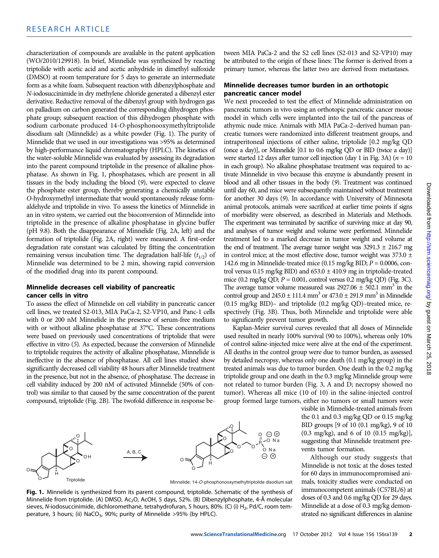characterization of compounds are available in the patent application (WO/2010/129918). In brief, Minnelide was synthesized by reacting triptolide with acetic acid and acetic anhydride in dimethyl sulfoxide (DMSO) at room temperature for 5 days to generate an intermediate form as a white foam. Subsequent reaction with dibenzylphosphate and N-iodosuccinimide in dry methylene chloride generated a dibenzyl ester derivative. Reductive removal of the dibenzyl group with hydrogen gas on palladium on carbon generated the corresponding dihydrogen phosphate group; subsequent reaction of this dihydrogen phosphate with sodium carbonate produced 14-O-phosphonooxymethyltriptolide disodium salt (Minnelide) as a white powder (Fig. 1). The purity of Minnelide that we used in our investigations was >95% as determined by high-performance liquid chromatography (HPLC). The kinetics of the water-soluble Minnelide was evaluated by assessing its degradation into the parent compound triptolide in the presence of alkaline phosphatase. As shown in Fig. 1, phosphatases, which are present in all tissues in the body including the blood (9), were expected to cleave the phosphate ester group, thereby generating a chemically unstable O-hydroxymethyl intermediate that would spontaneously release formaldehyde and triptolide in vivo. To assess the kinetics of Minnelide in an in vitro system, we carried out the bioconversion of Minnelide into triptolide in the presence of alkaline phosphatase in glycine buffer (pH 9.8). Both the disappearance of Minnelide (Fig. 2A, left) and the formation of triptolide (Fig. 2A, right) were measured. A first-order degradation rate constant was calculated by fitting the concentration remaining versus incubation time. The degradation half-life  $(t_{1/2})$  of Minnelide was determined to be 2 min, showing rapid conversion of the modified drug into its parent compound.

#### Minnelide decreases cell viability of pancreatic cancer cells in vitro

To assess the effect of Minnelide on cell viability in pancreatic cancer cell lines, we treated S2-013, MIA PaCa-2, S2-VP10, and Panc-1 cells with 0 or 200 nM Minnelide in the presence of serum-free medium with or without alkaline phosphatase at 37°C. These concentrations were based on previously used concentrations of triptolide that were effective in vitro (5). As expected, because the conversion of Minnelide to triptolide requires the activity of alkaline phosphatase, Minnelide is ineffective in the absence of phosphatase. All cell lines studied show significantly decreased cell viability 48 hours after Minnelide treatment in the presence, but not in the absence, of phosphatase. The decrease in cell viability induced by 200 nM of activated Minnelide (50% of control) was similar to that caused by the same concentration of the parent compound, triptolide (Fig. 2B). The twofold difference in response between MIA PaCa-2 and the S2 cell lines (S2-013 and S2-VP10) may be attributed to the origin of these lines: The former is derived from a primary tumor, whereas the latter two are derived from metastases.

#### Minnelide decreases tumor burden in an orthotopic pancreatic cancer model

We next proceeded to test the effect of Minnelide administration on pancreatic tumors in vivo using an orthotopic pancreatic cancer mouse model in which cells were implanted into the tail of the pancreas of athymic nude mice. Animals with MIA PaCa-2–derived human pancreatic tumors were randomized into different treatment groups, and intraperitoneal injections of either saline, triptolide [0.2 mg/kg QD (once a day)], or Minnelide [0.1 to 0.6 mg/kg QD or BID (twice a day)] were started 12 days after tumor cell injection (day 1 in Fig. 3A) ( $n = 10$ in each group). No alkaline phosphatase treatment was required to activate Minnelide in vivo because this enzyme is abundantly present in blood and all other tissues in the body (9). Treatment was continued until day 60, and mice were subsequently maintained without treatment for another 30 days (9). In accordance with University of Minnesota animal protocols, animals were sacrificed at earlier time points if signs of morbidity were observed, as described in Materials and Methods. The experiment was terminated by sacrifice of surviving mice at day 90, and analyses of tumor weight and volume were performed. Minnelide treatment led to a marked decrease in tumor weight and volume at the end of treatment. The average tumor weight was  $3291.3 \pm 216.7$  mg in control mice; at the most effective dose, tumor weight was  $373.0 \pm$ 142.6 mg in Minnelide-treated mice (0.15 mg/kg BID;  $P = 0.0006$ , control versus 0.15 mg/kg BID) and  $653.0 \pm 410.9$  mg in triptolide-treated mice (0.2 mg/kg QD;  $P = 0.001$ , control versus 0.2 mg/kg QD) (Fig. 3C). The average tumor volume measured was  $2927.06 \pm 502.1$  mm<sup>3</sup> in the control group and  $245.0 \pm 111.4$  mm<sup>3</sup> or  $473.0 \pm 291.9$  mm<sup>3</sup> in Minnelide (0.15 mg/kg BID)– and triptolide (0.2 mg/kg QD)–treated mice, respectively (Fig. 3B). Thus, both Minnelide and triptolide were able to significantly prevent tumor growth.

Kaplan-Meier survival curves revealed that all doses of Minnelide used resulted in nearly 100% survival (90 to 100%), whereas only 10% of control saline-injected mice were alive at the end of the experiment. All deaths in the control group were due to tumor burden, as assessed by detailed necropsy, whereas only one death (0.1 mg/kg group) in the treated animals was due to tumor burden. One death in the 0.2 mg/kg triptolide group and one death in the 0.3 mg/kg Minnelide group were not related to tumor burden (Fig. 3, A and D; necropsy showed no tumor). Whereas all mice (10 of 10) in the saline-injected control group formed large tumors, either no tumors or small tumors were

> visible in Minnelide-treated animals from the 0.1 and 0.3 mg/kg QD or 0.15 mg/kg BID groups [9 of 10 (0.1 mg/kg), 9 of 10 (0.3 mg/kg), and 6 of 10 (0.15 mg/kg)], suggesting that Minnelide treatment prevents tumor formation.

> Although our study suggests that Minnelide is not toxic at the doses tested for 60 days in immunocompromised animals, toxicity studies were conducted on immunocompetent animals (C57BL/6) at doses of 0.3 and 0.6 mg/kg QD for 29 days. Minnelide at a dose of 0.3 mg/kg demonstrated no significant differences in alanine



Minnelide: 14-*O*-phosphonooxymethyltriptolide disodium salt

Fig. 1. Minnelide is synthesized from its parent compound, triptolide. Schematic of the synthesis of Minnelide from triptolide. (A) DMSO, Ac<sub>2</sub>O, AcOH, 5 days, 52%. (B) Dibenzylphosphate, 4-Å molecular sieves, N-iodosuccinimide, dichloromethane, tetrahydrofuran, 5 hours, 80%. (C) (i) H<sub>2</sub>, Pd/C, room temperature, 3 hours; (ii) NaCO<sub>3</sub>, 90%; purity of Minnelide >95% (by HPLC).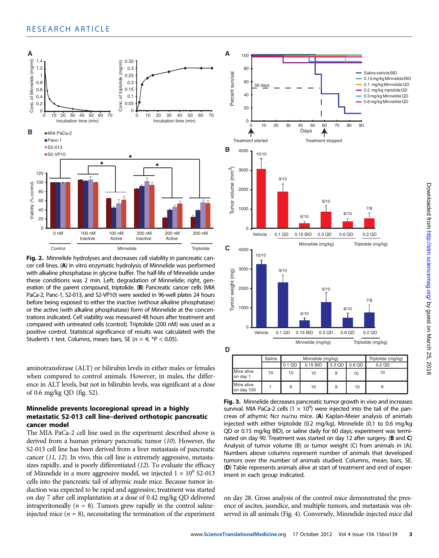

Fig. 2. Minnelide hydrolyses and decreases cell viability in pancreatic cancer cell lines. (A) In vitro enzymatic hydrolysis of Minnelide was performed with alkaline phosphatase in glycine buffer. The half-life of Minnelide under these conditions was 2 min. Left, degradation of Minnelide; right, generation of the parent compound, triptolide. (B) Pancreatic cancer cells (MIA PaCa-2, Panc-1, S2-013, and S2-VP10) were seeded in 96-well plates 24 hours before being exposed to either the inactive (without alkaline phosphatase) or the active (with alkaline phosphatase) form of Minnelide at the concentrations indicated. Cell viability was measured 48 hours after treatment and compared with untreated cells (control). Triptolide (200 nM) was used as a positive control. Statistical significance of results was calculated with the Student's t test. Columns, mean; bars, SE ( $n = 4$ ; \* $P < 0.05$ ).

aminotransferase (ALT) or bilirubin levels in either males or females when compared to control animals. However, in males, the difference in ALT levels, but not in bilirubin levels, was significant at a dose of 0.6 mg/kg QD (fig. S2).

### Minnelide prevents locoregional spread in a highly metastatic S2-013 cell line–derived orthotopic pancreatic cancer model

The MIA PaCa-2 cell line used in the experiment described above is derived from a human primary pancreatic tumor (10). However, the S2-013 cell line has been derived from a liver metastasis of pancreatic cancer (11, 12). In vivo, this cell line is extremely aggressive, metastasizes rapidly, and is poorly differentiated (12). To evaluate the efficacy of Minnelide in a more aggressive model, we injected  $1 \times 10^6$  S2-013 cells into the pancreatic tail of athymic nude mice. Because tumor induction was expected to be rapid and aggressive, treatment was started on day 7 after cell implantation at a dose of 0.42 mg/kg QD delivered intraperitoneally ( $n = 8$ ). Tumors grew rapidly in the control salineinjected mice  $(n = 8)$ , necessitating the termination of the experiment



Fig. 3. Minnelide decreases pancreatic tumor growth in vivo and increases survival. MIA PaCa-2 cells  $(1 \times 10^6)$  were injected into the tail of the pancreas of athymic Ncr nu/nu mice. (A) Kaplan-Meier analysis of animals injected with either triptolide (0.2 mg/kg), Minnelide (0.1 to 0.6 mg/kg QD or 0.15 mg/kg BID), or saline daily for 60 days; experiment was terminated on day 90. Treatment was started on day 12 after surgery. (B and C) Analysis of tumor volume (B) or tumor weight (C) from animals in (A). Numbers above columns represent number of animals that developed tumors over the number of animals studied. Columns, mean; bars, SE. (D) Table represents animals alive at start of treatment and end of experiment in each group indicated.

on day 28. Gross analysis of the control mice demonstrated the presence of ascites, jaundice, and multiple tumors, and metastasis was observed in all animals (Fig. 4). Conversely, Minnelide-injected mice did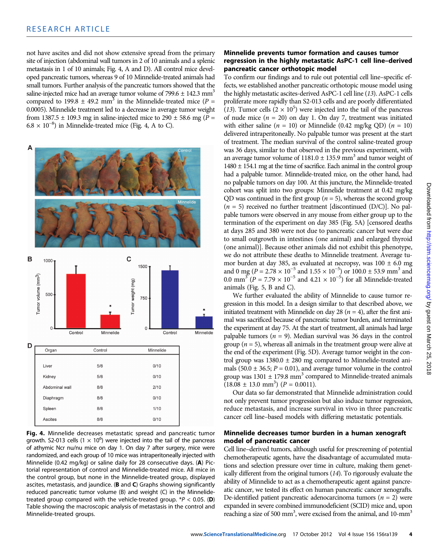not have ascites and did not show extensive spread from the primary site of injection (abdominal wall tumors in 2 of 10 animals and a splenic metastasis in 1 of 10 animals; Fig. 4, A and D). All control mice developed pancreatic tumors, whereas 9 of 10 Minnelide-treated animals had small tumors. Further analysis of the pancreatic tumors showed that the saline-injected mice had an average tumor volume of  $799.6 \pm 142.3$  mm<sup>3</sup> compared to 199.8  $\pm$  49.2 mm<sup>3</sup> in the Minnelide-treated mice (P = 0.0005). Minnelide treatment led to a decrease in average tumor weight from 1387.5  $\pm$  109.3 mg in saline-injected mice to 290  $\pm$  58.6 mg (P =  $6.8 \times 10^{-8}$ ) in Minnelide-treated mice (Fig. 4, A to C).



Fig. 4. Minnelide decreases metastatic spread and pancreatic tumor growth. S2-013 cells (1  $\times$  10<sup>6</sup>) were injected into the tail of the pancreas of athymic Ncr nu/nu mice on day 1. On day 7 after surgery, mice were randomized, and each group of 10 mice was intraperitoneally injected with Minnelide (0.42 mg/kg) or saline daily for 28 consecutive days. (A) Pictorial representation of control and Minnelide-treated mice. All mice in the control group, but none in the Minnelide-treated group, displayed ascites, metastasis, and jaundice. (B and C) Graphs showing significantly reduced pancreatic tumor volume (B) and weight (C) in the Minnelidetreated group compared with the vehicle-treated group.  $*P < 0.05$ . (D) Table showing the macroscopic analysis of metastasis in the control and Minnelide-treated groups.

#### Minnelide prevents tumor formation and causes tumor regression in the highly metastatic AsPC-1 cell line–derived pancreatic cancer orthotopic model

To confirm our findings and to rule out potential cell line–specific effects, we established another pancreatic orthotopic mouse model using the highly metastatic ascites-derived AsPC-1 cell line (13). AsPC-1 cells proliferate more rapidly than S2-013 cells and are poorly differentiated (13). Tumor cells  $(2 \times 10^5)$  were injected into the tail of the pancreas of nude mice  $(n = 20)$  on day 1. On day 7, treatment was initiated with either saline ( $n = 10$ ) or Minnelide (0.42 mg/kg QD) ( $n = 10$ ) delivered intraperitoneally. No palpable tumor was present at the start of treatment. The median survival of the control saline-treated group was 36 days, similar to that observed in the previous experiment, with an average tumor volume of  $1181.0 \pm 135.9$  mm<sup>3</sup> and tumor weight of  $1480 \pm 154.1$  mg at the time of sacrifice. Each animal in the control group had a palpable tumor. Minnelide-treated mice, on the other hand, had no palpable tumors on day 100. At this juncture, the Minnelide-treated cohort was split into two groups: Minnelide treatment at 0.42 mg/kg QD was continued in the first group ( $n = 5$ ), whereas the second group  $(n = 5)$  received no further treatment [discontinued (D/C)]. No palpable tumors were observed in any mouse from either group up to the termination of the experiment on day 385 (Fig. 5A) [censored deaths at days 285 and 380 were not due to pancreatic cancer but were due to small outgrowth in intestines (one animal) and enlarged thyroid (one animal)]. Because other animals did not exhibit this phenotype, we do not attribute these deaths to Minnelide treatment. Average tumor burden at day 385, as evaluated at necropsy, was  $100 \pm 6.0$  mg and 0 mg ( $P = 2.78 \times 10^{-5}$  and  $1.55 \times 10^{-5}$ ) or  $100.0 \pm 53.9$  mm<sup>3</sup> and 0.0 mm<sup>3</sup> ( $P = 7.79 \times 10^{-5}$  and  $4.21 \times 10^{-5}$ ) for all Minnelide-treated animals (Fig. 5, B and C).

We further evaluated the ability of Minnelide to cause tumor regression in this model. In a design similar to that described above, we initiated treatment with Minnelide on day 28 ( $n = 4$ ), after the first animal was sacrificed because of pancreatic tumor burden, and terminated the experiment at day 75. At the start of treatment, all animals had large palpable tumors ( $n = 9$ ). Median survival was 36 days in the control group ( $n = 5$ ), whereas all animals in the treatment group were alive at the end of the experiment (Fig. 5D). Average tumor weight in the control group was  $1380.0 \pm 280$  mg compared to Minnelide-treated animals (50.0  $\pm$  36.5;  $P = 0.01$ ), and average tumor volume in the control group was  $1301 \pm 179.8$  mm<sup>3</sup> compared to Minnelide-treated animals  $(18.08 \pm 13.0 \text{ mm}^3)$   $(P = 0.0011)$ .

Our data so far demonstrated that Minnelide administration could not only prevent tumor progression but also induce tumor regression, reduce metastasis, and increase survival in vivo in three pancreatic cancer cell line–based models with differing metastatic potentials.

#### Minnelide decreases tumor burden in a human xenograft model of pancreatic cancer

Cell line–derived tumors, although useful for prescreening of potential chemotherapeutic agents, have the disadvantage of accumulated mutations and selection pressure over time in culture, making them genetically different from the original tumors (14). To rigorously evaluate the ability of Minnelide to act as a chemotherapeutic agent against pancreatic cancer, we tested its effect on human pancreatic cancer xenografts. De-identified patient pancreatic adenocarcinoma tumors ( $n = 2$ ) were expanded in severe combined immunodeficient (SCID) mice and, upon reaching a size of 500 mm<sup>3</sup>, were excised from the animal, and 10-mm<sup>3</sup>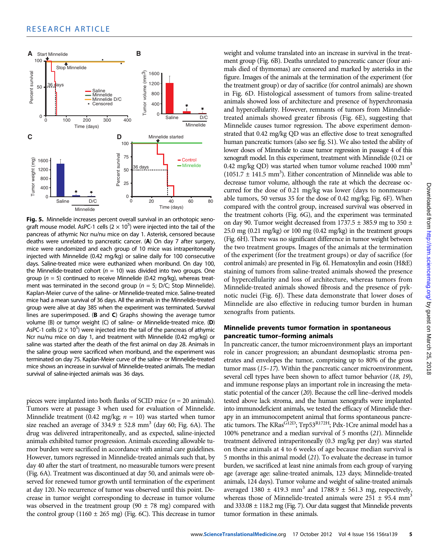

Fig. 5. Minnelide increases percent overall survival in an orthotopic xenograft mouse model. AsPC-1 cells  $(2 \times 10^5)$  were injected into the tail of the pancreas of athymic Ncr nu/nu mice on day 1. Asterisk, censored because deaths were unrelated to pancreatic cancer. (A) On day 7 after surgery, mice were randomized and each group of 10 mice was intraperitoneally injected with Minnelide (0.42 mg/kg) or saline daily for 100 consecutive days. Saline-treated mice were euthanized when moribund. On day 100, the Minnelide-treated cohort ( $n = 10$ ) was divided into two groups. One group ( $n = 5$ ) continued to receive Minnelide (0.42 mg/kg), whereas treatment was terminated in the second group ( $n = 5$ ; D/C; Stop Minnelide). Kaplan-Meier curve of the saline- or Minnelide-treated mice. Saline-treated mice had a mean survival of 36 days. All the animals in the Minnelide-treated group were alive at day 385 when the experiment was terminated. Survival lines are superimposed. (B and C) Graphs showing the average tumor volume (B) or tumor weight (C) of saline- or Minnelide-treated mice. (D) AsPC-1 cells ( $2 \times 10^5$ ) were injected into the tail of the pancreas of athymic Ncr nu/nu mice on day 1, and treatment with Minnelide (0.42 mg/kg) or saline was started after the death of the first animal on day 28. Animals in the saline group were sacrificed when moribund, and the experiment was terminated on day 75. Kaplan-Meier curve of the saline- or Minnelide-treated mice shows an increase in survival of Minnelide-treated animals. The median survival of saline-injected animals was 36 days.

pieces were implanted into both flanks of SCID mice ( $n = 20$  animals). Tumors were at passage 3 when used for evaluation of Minnelide. Minnelide treatment (0.42 mg/kg;  $n = 10$ ) was started when tumor size reached an average of  $334.9 \pm 52.8$  mm<sup>3</sup> (day 60; Fig. 6A). The drug was delivered intraperitoneally, and as expected, saline-injected animals exhibited tumor progression. Animals exceeding allowable tumor burden were sacrificed in accordance with animal care guidelines. However, tumors regressed in Minnelide-treated animals such that, by day 40 after the start of treatment, no measurable tumors were present (Fig. 6A). Treatment was discontinued at day 50, and animals were observed for renewed tumor growth until termination of the experiment at day 120. No recurrence of tumor was observed until this point. Decrease in tumor weight corresponding to decrease in tumor volume was observed in the treatment group (90  $\pm$  78 mg) compared with the control group (1160  $\pm$  265 mg) (Fig. 6C). This decrease in tumor

weight and volume translated into an increase in survival in the treatment group (Fig. 6B). Deaths unrelated to pancreatic cancer (four animals died of thymomas) are censored and marked by asterisks in the figure. Images of the animals at the termination of the experiment (for the treatment group) or day of sacrifice (for control animals) are shown in Fig. 6D. Histological assessment of tumors from saline-treated animals showed loss of architecture and presence of hyperchromasia and hypercellularity. However, remnants of tumors from Minnelidetreated animals showed greater fibrosis (Fig. 6E), suggesting that Minnelide causes tumor regression. The above experiment demonstrated that 0.42 mg/kg QD was an effective dose to treat xenografted human pancreatic tumors (also see fig. S1). We also tested the ability of lower doses of Minnelide to cause tumor regression in passage 4 of this xenograft model. In this experiment, treatment with Minnelide (0.21 or 0.42 mg/kg QD) was started when tumor volume reached 1000 mm<sup>3</sup>  $(1051.7 \pm 141.5 \text{ mm}^3)$ . Either concentration of Minnelide was able to decrease tumor volume, although the rate at which the decrease occurred for the dose of 0.21 mg/kg was lower (days to nonmeasurable tumors, 50 versus 35 for the dose of 0.42 mg/kg; Fig. 6F). When compared with the control group, increased survival was observed in the treatment cohorts (Fig. 6G), and the experiment was terminated on day 90. Tumor weight decreased from 1737.5  $\pm$  385.9 mg to 350  $\pm$ 25.0 mg (0.21 mg/kg) or 100 mg (0.42 mg/kg) in the treatment groups (Fig. 6H). There was no significant difference in tumor weight between the two treatment groups. Images of the animals at the termination of the experiment (for the treatment groups) or day of sacrifice (for control animals) are presented in Fig. 6I. Hematoxylin and eosin (H&E) staining of tumors from saline-treated animals showed the presence of hypercellularity and loss of architecture, whereas tumors from Minnelide-treated animals showed fibrosis and the presence of pyknotic nuclei (Fig. 6J). These data demonstrate that lower doses of Minnelide are also effective in reducing tumor burden in human xenografts from patients.

#### Minnelide prevents tumor formation in spontaneous pancreatic tumor–forming animals

In pancreatic cancer, the tumor microenvironment plays an important role in cancer progression; an abundant desmoplastic stroma penetrates and envelopes the tumor, comprising up to 80% of the gross tumor mass (15–17). Within the pancreatic cancer microenvironment, several cell types have been shown to affect tumor behavior (18, 19), and immune response plays an important role in increasing the metastatic potential of the cancer (20). Because the cell line–derived models tested above lack stroma, and the human xenografts were implanted into immunodeficient animals, we tested the efficacy of Minnelide therapy in an immunocompetent animal that forms spontaneous pancreatic tumors. The KRas<sup>G12D</sup>; Trp53<sup>R172H</sup>; Pdx-1Cre animal model has a 100% penetrance and a median survival of 5 months (21). Minnelide treatment delivered intraperitoneally (0.3 mg/kg per day) was started on these animals at 4 to 6 weeks of age because median survival is 5 months in this animal model (21). To evaluate the decrease in tumor burden, we sacrificed at least nine animals from each group of varying age (average age: saline-treated animals, 123 days; Minnelide-treated animals, 124 days). Tumor volume and weight of saline-treated animals averaged 1380  $\pm$  419.3 mm<sup>3</sup> and 1788.9  $\pm$  561.3 mg, respectively, whereas those of Minnelide-treated animals were  $251 \pm 95.4$  mm<sup>3</sup> and  $333.08 \pm 118.2$  mg (Fig. 7). Our data suggest that Minnelide prevents tumor formation in these animals.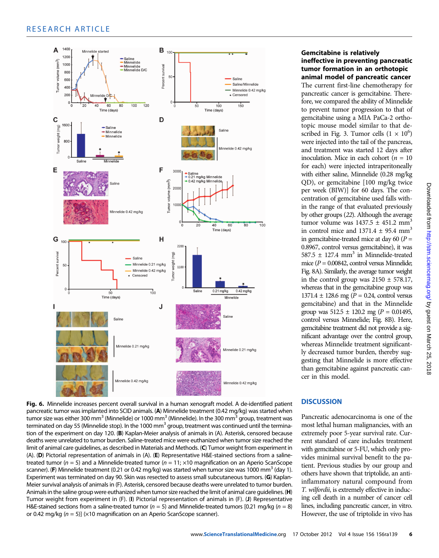

Fig. 6. Minnelide increases percent overall survival in a human xenograft model. A de-identified patient pancreatic tumor was implanted into SCID animals. (A) Minnelide treatment (0.42 mg/kg) was started when tumor size was either 300 mm<sup>3</sup> (Minnelide) or 1000 mm<sup>3</sup> (Minnelide). In the 300 mm<sup>3</sup> group, treatment was terminated on day 55 (Minnelide stop). In the 1000 mm<sup>3</sup> group, treatment was continued until the termination of the experiment on day 120. (B) Kaplan-Meier analysis of animals in (A). Asterisk, censored because deaths were unrelated to tumor burden. Saline-treated mice were euthanized when tumor size reached the limit of animal care guidelines, as described in Materials and Methods. (C) Tumor weight from experiment in (A). (D) Pictorial representation of animals in (A). (E) Representative H&E-stained sections from a salinetreated tumor ( $n = 5$ ) and a Minnelide-treated tumor ( $n = 11$ ;  $\times$ 10 magnification on an Aperio ScanScope scanner). (F) Minnelide treatment (0.21 or 0.42 mg/kg) was started when tumor size was 1000 mm<sup>3</sup> (day 1). Experiment was terminated on day 90. Skin was resected to assess small subcutaneous tumors. (G) Kaplan-Meier survival analysis of animals in (F). Asterisk, censored because deaths were unrelated to tumor burden. Animals in the saline group were euthanized when tumor size reached the limit of animal care guidelines. (H) Tumor weight from experiment in (F). (I) Pictorial representation of animals in (F). (J) Representative H&E-stained sections from a saline-treated tumor ( $n = 5$ ) and Minnelide-treated tumors [0.21 mg/kg ( $n = 8$ ) or 0.42 mg/kg ( $n = 5$ )] ( $\times$ 10 magnification on an Aperio ScanScope scanner).

#### Gemcitabine is relatively ineffective in preventing pancreatic tumor formation in an orthotopic animal model of pancreatic cancer

The current first-line chemotherapy for pancreatic cancer is gemcitabine. Therefore, we compared the ability of Minnelide to prevent tumor progression to that of gemcitabine using a MIA PaCa-2 orthotopic mouse model similar to that described in Fig. 3. Tumor cells  $(1 \times 10^6)$ were injected into the tail of the pancreas, and treatment was started 12 days after inoculation. Mice in each cohort ( $n = 10$ for each) were injected intraperitoneally with either saline, Minnelide (0.28 mg/kg QD), or gemcitabine [100 mg/kg twice per week (BIW)] for 60 days. The concentration of gemcitabine used falls within the range of that evaluated previously by other groups (22). Although the average tumor volume was  $1437.5 \pm 451.2$  mm<sup>3</sup> in control mice and  $1371.4 \pm 95.4$  mm<sup>3</sup> in gemcitabine-treated mice at day  $60 (P =$ 0.8967, control versus gemcitabine), it was 587.5  $\pm$  127.4 mm<sup>3</sup> in Minnelide-treated mice ( $P = 0.00842$ , control versus Minnelide; Fig. 8A). Similarly, the average tumor weight in the control group was  $2150 \pm 578.17$ , whereas that in the gemcitabine group was  $1371.4 \pm 128.6$  mg ( $P = 0.24$ , control versus gemcitabine) and that in the Minnelide group was  $512.5 \pm 120.2$  mg ( $P = 0.01495$ , control versus Minnelide; Fig. 8B). Here, gemcitabine treatment did not provide a significant advantage over the control group, whereas Minnelide treatment significantly decreased tumor burden, thereby suggesting that Minnelide is more effective than gemcitabine against pancreatic cancer in this model.

#### **DISCUSSION**

Pancreatic adenocarcinoma is one of the most lethal human malignancies, with an extremely poor 5-year survival rate. Current standard of care includes treatment with gemcitabine or 5-FU, which only provides minimal survival benefit to the patient. Previous studies by our group and others have shown that triptolide, an antiinflammatory natural compound from T. wilfordii, is extremely effective in inducing cell death in a number of cancer cell lines, including pancreatic cancer, in vitro. However, the use of triptolide in vivo has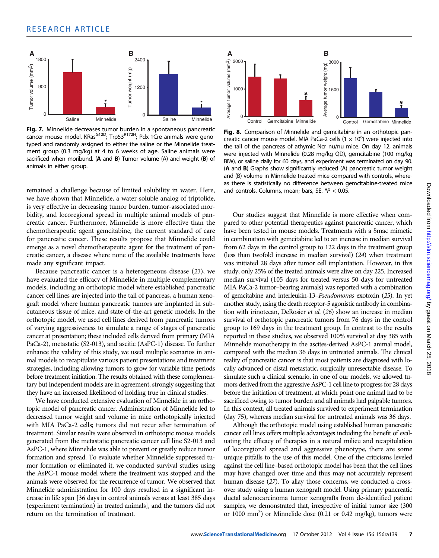

Fig. 7. Minnelide decreases tumor burden in a spontaneous pancreatic cancer mouse model. KRas<sup>G12D</sup>; Trp53<sup>R172H</sup>; Pdx-1Cre animals were genotyped and randomly assigned to either the saline or the Minnelide treatment group (0.3 mg/kg) at 4 to 6 weeks of age. Saline animals were sacrificed when moribund. (A and B) Tumor volume (A) and weight (B) of animals in either group.

remained a challenge because of limited solubility in water. Here, we have shown that Minnelide, a water-soluble analog of triptolide, is very effective in decreasing tumor burden, tumor-associated morbidity, and locoregional spread in multiple animal models of pancreatic cancer. Furthermore, Minnelide is more effective than the chemotherapeutic agent gemcitabine, the current standard of care for pancreatic cancer. These results propose that Minnelide could emerge as a novel chemotherapeutic agent for the treatment of pancreatic cancer, a disease where none of the available treatments have made any significant impact.

Because pancreatic cancer is a heterogeneous disease (23), we have evaluated the efficacy of Minnelide in multiple complementary models, including an orthotopic model where established pancreatic cancer cell lines are injected into the tail of pancreas, a human xenograft model where human pancreatic tumors are implanted in subcutaneous tissue of mice, and state-of-the-art genetic models. In the orthotopic model, we used cell lines derived from pancreatic tumors of varying aggressiveness to simulate a range of stages of pancreatic cancer at presentation; these included cells derived from primary (MIA PaCa-2), metastatic (S2-013), and ascitic (AsPC-1) disease. To further enhance the validity of this study, we used multiple scenarios in animal models to recapitulate various patient presentations and treatment strategies, including allowing tumors to grow for variable time periods before treatment initiation. The results obtained with these complementary but independent models are in agreement, strongly suggesting that they have an increased likelihood of holding true in clinical studies.

We have conducted extensive evaluation of Minnelide in an orthotopic model of pancreatic cancer. Administration of Minnelide led to decreased tumor weight and volume in mice orthotopically injected with MIA PaCa-2 cells; tumors did not recur after termination of treatment. Similar results were observed in orthotopic mouse models generated from the metastatic pancreatic cancer cell line S2-013 and AsPC-1, where Minnelide was able to prevent or greatly reduce tumor formation and spread. To evaluate whether Minnelide suppressed tumor formation or eliminated it, we conducted survival studies using the AsPC-1 mouse model where the treatment was stopped and the animals were observed for the recurrence of tumor. We observed that Minnelide administration for 100 days resulted in a significant increase in life span [36 days in control animals versus at least 385 days (experiment termination) in treated animals], and the tumors did not return on the termination of treatment.



Fig. 8. Comparison of Minnelide and gemcitabine in an orthotopic pancreatic cancer mouse model. MIA PaCa-2 cells  $(1 \times 10^6)$  were injected into the tail of the pancreas of athymic Ncr nu/nu mice. On day 12, animals were injected with Minnelide (0.28 mg/kg QD), gemcitabine (100 mg/kg BIW), or saline daily for 60 days, and experiment was terminated on day 90. (A and B) Graphs show significantly reduced (A) pancreatic tumor weight and (B) volume in Minnelide-treated mice compared with controls, whereas there is statistically no difference between gemcitabine-treated mice and controls. Columns, mean; bars, SE.  $*P < 0.05$ .

Our studies suggest that Minnelide is more effective when compared to other potential therapeutics against pancreatic cancer, which have been tested in mouse models. Treatments with a Smac mimetic in combination with gemcitabine led to an increase in median survival from 62 days in the control group to 122 days in the treatment group (less than twofold increase in median survival) (24) when treatment was initiated 28 days after tumor cell implantation. However, in this study, only 25% of the treated animals were alive on day 225. Increased median survival (105 days for treated versus 50 days for untreated MIA PaCa-2 tumor–bearing animals) was reported with a combination of gemcitabine and interleukin-13–Pseudomonas exotoxin (25). In yet another study, using the death receptor-5 agonistic antibody in combination with irinotecan, DeRosier et al. (26) show an increase in median survival of orthotopic pancreatic tumors from 76 days in the control group to 169 days in the treatment group. In contrast to the results reported in these studies, we observed 100% survival at day 385 with Minnelide monotherapy in the ascites-derived AsPC-1 animal model, compared with the median 36 days in untreated animals. The clinical reality of pancreatic cancer is that most patients are diagnosed with locally advanced or distal metastatic, surgically unresectable disease. To simulate such a clinical scenario, in one of our models, we allowed tumors derived from the aggressive AsPC-1 cell line to progress for 28 days before the initiation of treatment, at which point one animal had to be sacrificed owing to tumor burden and all animals had palpable tumors. In this context, all treated animals survived to experiment termination (day 75), whereas median survival for untreated animals was 36 days.

Although the orthotopic model using established human pancreatic cancer cell lines offers multiple advantages including the benefit of evaluating the efficacy of therapies in a natural milieu and recapitulation of locoregional spread and aggressive phenotype, there are some unique pitfalls to the use of this model. One of the criticisms leveled against the cell line–based orthotopic model has been that the cell lines may have changed over time and thus may not accurately represent human disease (27). To allay those concerns, we conducted a crossover study using a human xenograft model. Using primary pancreatic ductal adenocarcinoma tumor xenografts from de-identified patient samples, we demonstrated that, irrespective of initial tumor size (300 or 1000 mm<sup>3</sup>) or Minnelide dose (0.21 or 0.42 mg/kg), tumors were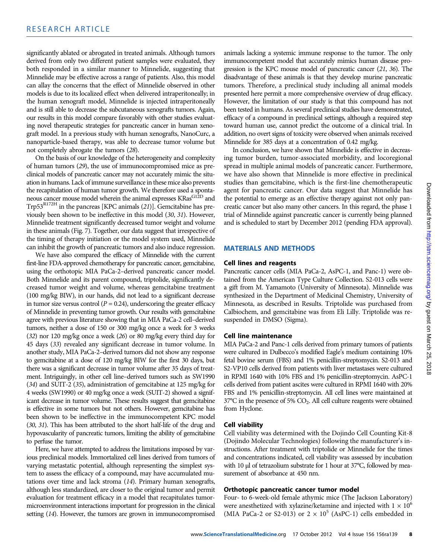significantly ablated or abrogated in treated animals. Although tumors derived from only two different patient samples were evaluated, they both responded in a similar manner to Minnelide, suggesting that Minnelide may be effective across a range of patients. Also, this model can allay the concerns that the effect of Minnelide observed in other models is due to its localized effect when delivered intraperitoneally; in the human xenograft model, Minnelide is injected intraperitoneally and is still able to decrease the subcutaneous xenografts tumors. Again, our results in this model compare favorably with other studies evaluating novel therapeutic strategies for pancreatic cancer in human xenograft model. In a previous study with human xenografts, NanoCurc, a nanoparticle-based therapy, was able to decrease tumor volume but not completely abrogate the tumors (28).

On the basis of our knowledge of the heterogeneity and complexity of human tumors (29), the use of immunocompromised mice as preclinical models of pancreatic cancer may not accurately mimic the situation in humans. Lack of immune surveillance in these mice also prevents the recapitulation of human tumor growth. We therefore used a spontaneous cancer mouse model wherein the animal expresses KRasG12D and Trp53 $R172H$  in the pancreas [KPC animals (21)]. Gemcitabine has previously been shown to be ineffective in this model (30, 31). However, Minnelide treatment significantly decreased tumor weight and volume in these animals (Fig. 7). Together, our data suggest that irrespective of the timing of therapy initiation or the model system used, Minnelide can inhibit the growth of pancreatic tumors and also induce regression.

We have also compared the efficacy of Minnelide with the current first-line FDA-approved chemotherapy for pancreatic cancer, gemcitabine, using the orthotopic MIA PaCa-2–derived pancreatic cancer model. Both Minnelide and its parent compound, triptolide, significantly decreased tumor weight and volume, whereas gemcitabine treatment (100 mg/kg BIW), in our hands, did not lead to a significant decrease in tumor size versus control ( $P = 0.24$ ), underscoring the greater efficacy of Minnelide in preventing tumor growth. Our results with gemcitabine agree with previous literature showing that in MIA PaCa-2 cell–derived tumors, neither a dose of 150 or 300 mg/kg once a week for 3 weeks (32) nor 120 mg/kg once a week (26) or 80 mg/kg every third day for 45 days (33) revealed any significant decrease in tumor volume. In another study, MIA PaCa-2–derived tumors did not show any response to gemcitabine at a dose of 120 mg/kg BIW for the first 30 days, but there was a significant decrease in tumor volume after 35 days of treatment. Intriguingly, in other cell line–derived tumors such as SW1990 (34) and SUIT-2 (35), administration of gemcitabine at 125 mg/kg for 4 weeks (SW1990) or 40 mg/kg once a week (SUIT-2) showed a significant decrease in tumor volume. These results suggest that gemcitabine is effective in some tumors but not others. However, gemcitabine has been shown to be ineffective in the immunocompetent KPC model (30, 31). This has been attributed to the short half-life of the drug and hypovascularity of pancreatic tumors, limiting the ability of gemcitabine to perfuse the tumor.

Here, we have attempted to address the limitations imposed by various preclinical models. Immortalized cell lines derived from tumors of varying metastatic potential, although representing the simplest system to assess the efficacy of a compound, may have accumulated mutations over time and lack stroma (14). Primary human xenografts, although less standardized, are closer to the original tumor and permit evaluation for treatment efficacy in a model that recapitulates tumormicroenvironment interactions important for progression in the clinical setting (14). However, the tumors are grown in immunocompromised

animals lacking a systemic immune response to the tumor. The only immunocompetent model that accurately mimics human disease progression is the KPC mouse model of pancreatic cancer (21, 36). The disadvantage of these animals is that they develop murine pancreatic tumors. Therefore, a preclinical study including all animal models presented here permit a more comprehensive overview of drug efficacy. However, the limitation of our study is that this compound has not been tested in humans. As several preclinical studies have demonstrated, efficacy of a compound in preclinical settings, although a required step toward human use, cannot predict the outcome of a clinical trial. In addition, no overt signs of toxicity were observed when animals received Minnelide for 385 days at a concentration of 0.42 mg/kg.

In conclusion, we have shown that Minnelide is effective in decreasing tumor burden, tumor-associated morbidity, and locoregional spread in multiple animal models of pancreatic cancer. Furthermore, we have also shown that Minnelide is more effective in preclinical studies than gemcitabine, which is the first-line chemotherapeutic agent for pancreatic cancer. Our data suggest that Minnelide has the potential to emerge as an effective therapy against not only pancreatic cancer but also many other cancers. In this regard, the phase 1 trial of Minnelide against pancreatic cancer is currently being planned and is scheduled to start by December 2012 (pending FDA approval).

#### MATERIALS AND METHODS

#### Cell lines and reagents

Pancreatic cancer cells (MIA PaCa-2, AsPC-1, and Panc-1) were obtained from the American Type Culture Collection. S2-013 cells were a gift from M. Yamamoto (University of Minnesota). Minnelide was synthesized in the Department of Medicinal Chemistry, University of Minnesota, as described in Results. Triptolide was purchased from Calbiochem, and gemcitabine was from Eli Lilly. Triptolide was resuspended in DMSO (Sigma).

#### Cell line maintenance

MIA PaCa-2 and Panc-1 cells derived from primary tumors of patients were cultured in Dulbecco's modified Eagle's medium containing 10% fetal bovine serum (FBS) and 1% penicillin-streptomycin. S2-013 and S2-VP10 cells derived from patients with liver metastases were cultured in RPMI 1640 with 10% FBS and 1% penicillin-streptomycin. AsPC-1 cells derived from patient ascites were cultured in RPMI 1640 with 20% FBS and 1% penicillin-streptomycin. All cell lines were maintained at  $37^{\circ}$ C in the presence of 5%  $CO<sub>2</sub>$ . All cell culture reagents were obtained from Hyclone.

#### Cell viability

Cell viability was determined with the Dojindo Cell Counting Kit-8 (Dojindo Molecular Technologies) following the manufacturer's instructions. After treatment with triptolide or Minnelide for the times and concentrations indicated, cell viability was assessed by incubation with 10 µl of tetrazolium substrate for 1 hour at 37°C, followed by measurement of absorbance at 450 nm.

#### Orthotopic pancreatic cancer tumor model

Four- to 6-week-old female athymic mice (The Jackson Laboratory) were anesthetized with xylazine/ketamine and injected with  $1 \times 10^6$ (MIA PaCa-2 or S2-013) or  $2 \times 10^5$  (AsPC-1) cells embedded in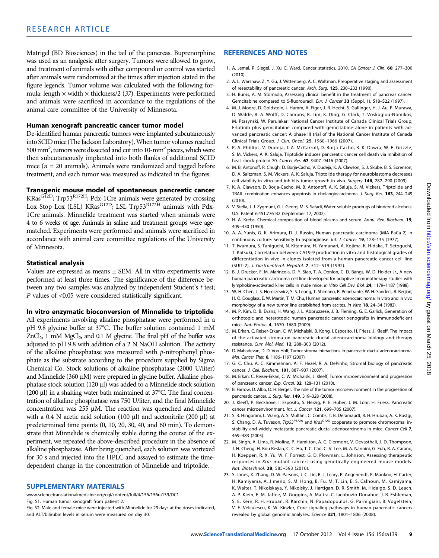Matrigel (BD Biosciences) in the tail of the pancreas. Buprenorphine was used as an analgesic after surgery. Tumors were allowed to grow, and treatment of animals with either compound or control was started after animals were randomized at the times after injection stated in the figure legends. Tumor volume was calculated with the following formula: length  $\times$  width  $\times$  thickness/2 (37). Experiments were performed and animals were sacrificed in accordance to the regulations of the animal care committee of the University of Minnesota.

#### Human xenograft pancreatic cancer tumor model

De-identified human pancreatic tumors were implanted subcutaneously into SCID mice (The Jackson Laboratory).When tumor volumes reached 500 mm<sup>3</sup>, tumors were dissected and cut into 10-mm<sup>3</sup> pieces, which were then subcutaneously implanted into both flanks of additional SCID mice ( $n = 20$  animals). Animals were randomized and tagged before treatment, and each tumor was measured as indicated in the figures.

#### Transgenic mouse model of spontaneous pancreatic cancer

KRas<sup>GI2D</sup>; Trp53<sup>R172H</sup>; Pdx-1Cre animals were generated by crossing Lox Stop Lox (LSL) KRas<sup>G12D</sup>; LSL Trp53<sup>R172H</sup> animals with Pdx-1Cre animals. Minnelide treatment was started when animals were 4 to 6 weeks of age. Animals in saline and treatment groups were agematched. Experiments were performed and animals were sacrificed in accordance with animal care committee regulations of the University of Minnesota.

#### Statistical analysis

Values are expressed as means  $\pm$  SEM. All in vitro experiments were performed at least three times. The significance of the difference between any two samples was analyzed by independent Student's t test; P values of <0.05 were considered statistically significant.

#### In vitro enzymatic bioconversion of Minnelide to triptolide

All experiments involving alkaline phosphatase were performed in a pH 9.8 glycine buffer at 37°C. The buffer solution contained 1 mM  $ZnCl<sub>2</sub>$ , 1 mM MgCl<sub>2</sub>, and 0.1 M glycine. The final pH of the buffer was adjusted to pH 9.8 with addition of a 2 N NaOH solution. The activity of the alkaline phosphatase was measured with  $p$ -nitrophenyl phosphate as the substrate according to the procedure supplied by Sigma Chemical Co. Stock solutions of alkaline phosphatase (2000 U/liter) and Minnelide  $(360 \mu M)$  were prepared in glycine buffer. Alkaline phosphatase stock solution (120  $\mu$ l) was added to a Minnelide stock solution (200  $\mu$ l) in a shaking water bath maintained at 37 $\degree$ C. The final concentration of alkaline phosphatase was 750 U/liter, and the final Minnelide concentration was  $255 \mu M$ . The reaction was quenched and diluted with a 0.4 N acetic acid solution (100  $\mu$ l) and acetonitrile (200  $\mu$ l) at predetermined time points (0, 10, 20, 30, 40, and 60 min). To demonstrate that Minnelide is chemically stable during the course of the experiment, we repeated the above-described procedure in the absence of alkaline phosphatase. After being quenched, each solution was vortexed for 30 s and injected into the HPLC and assayed to estimate the timedependent change in the concentration of Minnelide and triptolide.

#### SUPPLEMENTARY MATERIALS

www.sciencetranslationalmedicine.org/cgi/content/full/4/156/156ra139/DC1

Fig. S1. Human tumor xenograft from patient 2.

Fig. S2. Male and female mice were injected with Minnelide for 29 days at the doses indicated, and ALT/bilirubin levels in serum were measured on day 30.

#### REFERENCES AND NOTES

- 1. A. Jemal, R. Siegel, J. Xu, E. Ward, Cancer statistics, 2010. CA Cancer J. Clin. 60, 277–300  $(2010)$
- 2. A. L. Warshaw, Z. Y. Gu, J. Wittenberg, A. C. Waltman, Preoperative staging and assessment of resectability of pancreatic cancer. Arch. Surg. 125, 230–233 (1990).
- 3. H. Burris, A. M. Storniolo, Assessing clinical benefit in the treatment of pancreas cancer: Gemcitabine compared to 5-fluorouracil. Eur. J. Cancer 33 (Suppl. 1), S18-S22 (1997).
- 4. M. J. Moore, D. Goldstein, J. Hamm, A. Figer, J. R. Hecht, S. Gallinger, H. J. Au, P. Murawa, D. Walde, R. A. Wolff, D. Campos, R. Lim, K. Ding, G. Clark, T. Voskoglou-Nomikos, M. Ptasynski, W. Parulekar; National Cancer Institute of Canada Clinical Trials Group, Erlotinib plus gemcitabine compared with gemcitabine alone in patients with advanced pancreatic cancer: A phase III trial of the National Cancer Institute of Canada Clinical Trials Group. J. Clin. Oncol. 25, 1960–1966 (2007).
- 5. P. A. Phillips, V. Dudeja, J. A. McCarroll, D. Borja-Cacho, R. K. Dawra, W. E. Grizzle, S. M. Vickers, A. K. Saluja, Triptolide induces pancreatic cancer cell death via inhibition of heat shock protein 70. Cancer Res. 67, 9407–9416 (2007).
- 6. M. B. Antonoff, R. Chugh, D. Borja-Cacho, V. Dudeja, K. A. Clawson, S. J. Skube, B. S. Sorenson, D. A. Saltzman, S. M. Vickers, A. K. Saluja, Triptolide therapy for neuroblastoma decreases cell viability in vitro and inhibits tumor growth in vivo. Surgery 146, 282–290 (2009).
- 7. K. A. Clawson, D. Borja-Cacho, M. B. Antonoff, A. K. Saluja, S. M. Vickers, Triptolide and TRAIL combination enhances apoptosis in cholangiocarcinoma. J. Surg. Res. 163, 244–249 (2010).
- 8. V. Stella, J. J. Zygmunt, G. I. Georg, M. S. Safadi, Water-soluble prodrugs of hindered alcohols. U.S. Patent 6,451,776 B2 (September 17, 2002).
- 9. H. A. Krebs, Chemical composition of blood plasma and serum. Annu. Rev. Biochem. 19, 409–430 (1950).
- 10. A. A. Yunis, G. K. Arimura, D. J. Russin, Human pancreatic carcinoma (MIA PaCa-2) in continuous culture: Sensitivity to asparaginase. Int. J. Cancer 19, 128–135 (1977).
- 11. T. Iwamura, S. Taniguchi, N. Kitamura, H. Yamanari, A. Kojima, K. Hidaka, T. Setoguchi, T. Katsuki, Correlation between CA19-9 production in vitro and histological grades of differentiation in vivo in clones isolated from a human pancreatic cancer cell line (SUIT-2). J. Gastroenterol. Hepatol. 7, 512–519 (1992).
- 12. B. J. Drucker, F. M. Marincola, D. Y. Siao, T. A. Donlon, C. D. Bangs, W. D. Holder Jr., A new human pancreatic carcinoma cell line developed for adoptive immunotherapy studies with lymphokine-activated killer cells in nude mice. In Vitro Cell Dev. Biol. 24, 1179–1187 (1988).
- 13. W. H. Chen, J. S. Horoszewicz, S. S. Leong, T. Shimano, R. Penetrante, W. H. Sanders, R. Berjian, H. O. Douglass, E. W. Martin, T. M. Chu, Human pancreatic adenocarcinoma: In vitro and in vivo morphology of a new tumor line established from ascites. In Vitro 18, 24–34 (1982).
- 14. M. P. Kim, D. B. Evans, H. Wang, J. L. Abbruzzese, J. B. Fleming, G. E. Gallick, Generation of orthotopic and heterotopic human pancreatic cancer xenografts in immunodeficient mice. Nat. Protoc. **4**, 1670–1680 (2009).
- 15. M. Erkan, C. Reiser-Erkan, C. W. Michalski, B. Kong, I. Esposito, H. Friess, J. Kleeff, The impact of the activated stroma on pancreatic ductal adenocarcinoma biology and therapy resistance. Curr. Mol. Med. 12, 288–303 (2012).
- 16. D. Mahadevan, D. D. Von Hoff, Tumor-stroma interactions in pancreatic ductal adenocarcinoma. Mol. Cancer Ther. 6, 1186–1197 (2007).
- 17. G. C. Chu, A. C. Kimmelman, A. F. Hezel, R. A. DePinho, Stromal biology of pancreatic cancer. J. Cell. Biochem. 101, 887–907 (2007).
- 18. M. Erkan, C. Reiser-Erkan, C. W. Michalski, J. Kleeff, Tumor microenvironment and progression of pancreatic cancer. Exp. Oncol. 32, 128–131 (2010).
- 19. B. Farrow, D. Albo, D. H. Berger, The role of the tumor microenvironment in the progression of pancreatic cancer. J. Surg. Res. 149, 319–328 (2008).
- 20. J. Kleeff, P. Beckhove, I. Esposito, S. Herzig, P. E. Huber, J. M. Löhr, H. Friess, Pancreatic cancer microenvironment. Int. J. Cancer 121, 699–705 (2007).
- 21. S. R. Hingorani, L. Wang, A. S. Multani, C. Combs, T. B. Deramaudt, R. H. Hruban, A. K. Rustgi, S. Chang, D. A. Tuveson,  $Trp53^{R172H}$  and Kras<sup>G12D</sup> cooperate to promote chromosomal instability and widely metastatic pancreatic ductal adenocarcinoma in mice. Cancer Cell 7, 469–483 (2005).
- 22. M. Singh, A. Lima, R. Molina, P. Hamilton, A. C. Clermont, V. Devasthali, J. D. Thompson, J. H. Cheng, H. Bou Reslan, C. C. Ho, T. C. Cao, C. V. Lee, M. A. Nannini, G. Fuh, R. A. Carano, H. Koeppen, R. X. Yu, W. F. Forrest, G. D. Plowman, L. Johnson, Assessing therapeutic responses in Kras mutant cancers using genetically engineered mouse models. Nat. Biotechnol. 28, 585–593 (2010).
- 23. S. Jones, X. Zhang, D. W. Parsons, J. C. Lin, R. J. Leary, P. Angenendt, P. Mankoo, H. Carter, H. Kamiyama, A. Jimeno, S. M. Hong, B. Fu, M. T. Lin, E. S. Calhoun, M. Kamiyama, K. Walter, T. Nikolskaya, Y. Nikolsky, J. Hartigan, D. R. Smith, M. Hidalgo, S. D. Leach, A. P. Klein, E. M. Jaffee, M. Goggins, A. Maitra, C. Iacobuzio-Donahue, J. R. Eshleman, S. E. Kern, R. H. Hruban, R. Karchin, N. Papadopoulos, G. Parmigiani, B. Vogelstein, V. E. Velculescu, K. W. Kinzler, Core signaling pathways in human pancreatic cancers revealed by global genomic analyses. Science 321, 1801–1806 (2008).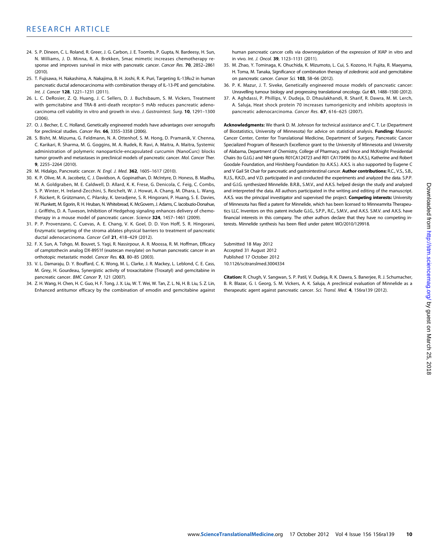- 24. S. P. Dineen, C. L. Roland, R. Greer, J. G. Carbon, J. E. Toombs, P. Gupta, N. Bardeesy, H. Sun, N. Williams, J. D. Minna, R. A. Brekken, Smac mimetic increases chemotherapy response and improves survival in mice with pancreatic cancer. Cancer Res. 70, 2852-2861 (2010).
- 25. T. Fujisawa, H. Nakashima, A. Nakajima, B. H. Joshi, R. K. Puri, Targeting IL-13R $\alpha$ 2 in human pancreatic ductal adenocarcinoma with combination therapy of IL-13-PE and gemcitabine. Int. J. Cancer 128, 1221-1231 (2011).
- 26. L. C. DeRosier, Z. Q. Huang, J. C. Sellers, D. J. Buchsbaum, S. M. Vickers, Treatment with gemcitabine and TRA-8 anti-death receptor-5 mAb reduces pancreatic adenocarcinoma cell viability in vitro and growth in vivo. J. Gastrointest. Surg. 10, 1291-1300 (2006).
- 27. O. J. Becher, E. C. Holland, Genetically engineered models have advantages over xenografts for preclinical studies. Cancer Res. 66, 3355-3358 (2006).
- 28. S. Bisht, M. Mizuma, G. Feldmann, N. A. Ottenhof, S. M. Hong, D. Pramanik, V. Chenna, C. Karikari, R. Sharma, M. G. Goggins, M. A. Rudek, R. Ravi, A. Maitra, A. Maitra, Systemic administration of polymeric nanoparticle-encapsulated curcumin (NanoCurc) blocks tumor growth and metastases in preclinical models of pancreatic cancer. Mol. Cancer Ther. 9, 2255–2264 (2010).
- 29. M. Hidalgo, Pancreatic cancer. N. Engl. J. Med. 362, 1605-1617 (2010).
- 30. K. P. Olive, M. A. Jacobetz, C. J. Davidson, A. Gopinathan, D. McIntyre, D. Honess, B. Madhu, M. A. Goldgraben, M. E. Caldwell, D. Allard, K. K. Frese, G. Denicola, C. Feig, C. Combs, S. P. Winter, H. Ireland-Zecchini, S. Reichelt, W. J. Howat, A. Chang, M. Dhara, L. Wang, F. Rückert, R. Grützmann, C. Pilarsky, K. Izeradjene, S. R. Hingorani, P. Huang, S. E. Davies, W. Plunkett, M. Egorin, R. H. Hruban, N. Whitebread, K. McGovern, J. Adams, C. Iacobuzio-Donahue, J. Griffiths, D. A. Tuveson, Inhibition of Hedgehog signaling enhances delivery of chemotherapy in a mouse model of pancreatic cancer. Science 324, 1457-1461 (2009).
- 31. P. P. Provenzano, C. Cuevas, A. E. Chang, V. K. Goel, D. D. Von Hoff, S. R. Hingorani, Enzymatic targeting of the stroma ablates physical barriers to treatment of pancreatic ductal adenocarcinoma. Cancer Cell 21, 418-429 (2012).
- 32. F. X. Sun, A. Tohgo, M. Bouvet, S. Yagi, R. Nassirpour, A. R. Moossa, R. M. Hoffman, Efficacy of camptothecin analog DX-8951f (exatecan mesylate) on human pancreatic cancer in an orthotopic metastatic model. Cancer Res. 63, 80–85 (2003).
- 33. V. L. Damaraju, D. Y. Bouffard, C. K. Wong, M. L. Clarke, J. R. Mackey, L. Leblond, C. E. Cass, M. Grey, H. Gourdeau, Synergistic activity of troxacitabine (Troxatyl) and gemcitabine in pancreatic cancer. BMC Cancer 7, 121 (2007).
- 34. Z. H. Wang, H. Chen, H. C. Guo, H. F. Tong, J. X. Liu, W. T. Wei, W. Tan, Z. L. Ni, H. B. Liu, S. Z. Lin, Enhanced antitumor efficacy by the combination of emodin and gemcitabine against

human pancreatic cancer cells via downregulation of the expression of XIAP in vitro and in vivo. Int. J. Oncol. 39, 1123–1131 (2011).

- 35. M. Zhao, Y. Tominaga, K. Ohuchida, K. Mizumoto, L. Cui, S. Kozono, H. Fujita, R. Maeyama, H. Toma, M. Tanaka, Significance of combination therapy of zoledronic acid and gemcitabine on pancreatic cancer. Cancer Sci. 103, 58–66 (2012).
- 36. P. K. Mazur, J. T. Siveke, Genetically engineered mouse models of pancreatic cancer: Unravelling tumour biology and progressing translational oncology. Gut 61, 1488–1500 (2012).
- 37. A. Aghdassi, P. Phillips, V. Dudeja, D. Dhaulakhandi, R. Sharif, R. Dawra, M. M. Lerch, A. Saluja, Heat shock protein 70 increases tumorigenicity and inhibits apoptosis in pancreatic adenocarcinoma. Cancer Res. 67, 616–625 (2007).

Acknowledgments: We thank D. M. Johnson for technical assistance and C. T. Le (Department of Biostatistics, University of Minnesota) for advice on statistical analysis. Funding: Masonic Cancer Center, Center for Translational Medicine, Department of Surgery, Pancreatic Cancer Specialized Program of Research Excellence grant to the University of Minnesota and University of Alabama, Department of Chemistry, College of Pharmacy, and Vince and McKnight Presidential Chairs (to G.I.G.) and NIH grants R01CA124723 and R01 CA170496 (to A.K.S.), Katherine and Robert Goodale Foundation, and Hirshberg Foundation (to A.K.S.). A.K.S. is also supported by Eugene C and V Gail Sit Chair for pancreatic and gastrointestinal cancer. Author contributions: R.C., V.S., S.B., R.J.S., R.K.D., and V.D. participated in and conducted the experiments and analyzed the data. S.P.P. and G.I.G. synthesized Minnelide. B.R.B., S.M.V., and A.K.S. helped design the study and analyzed and interpreted the data. All authors participated in the writing and editing of the manuscript. A.K.S. was the principal investigator and supervised the project. Competing interests: University of Minnesota has filed a patent for Minnelide, which has been licensed to Minneamrita Therapeutics LLC. Inventors on this patent include G.I.G., S.P.P., R.C., S.M.V., and A.K.S. S.M.V. and A.K.S. have financial interests in this company. The other authors declare that they have no competing interests. Minnelide synthesis has been filed under patent WO/2010/129918.

Submitted 18 May 2012 Accepted 31 August 2012 Published 17 October 2012 10.1126/scitranslmed.3004334

Citation: R. Chugh, V. Sangwan, S. P. Patil, V. Dudeja, R. K. Dawra, S. Banerjee, R. J. Schumacher, B. R. Blazar, G. I. Georg, S. M. Vickers, A. K. Saluja, A preclinical evaluation of Minnelide as a therapeutic agent against pancreatic cancer. Sci. Transl. Med. 4, 156ra139 (2012).